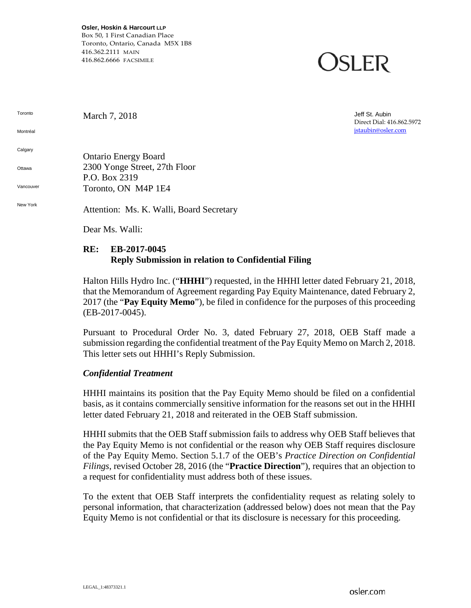**Osler, Hoskin & Harcourt LLP** Box 50, 1 First Canadian Place Toronto, Ontario, Canada M5X 1B8 416.362.2111 MAIN 416.862.6666 FACSIMILE

### OSLER

March 7, 2018 Jeff St. Aubin Direct Dial: 416.862.5972 [jstaubin@osler.com](mailto:rking@osler.com)

**Calgary Ottawa Vancouver** Ontario Energy Board 2300 Yonge Street, 27th Floor P.O. Box 2319 Toronto, ON M4P 1E4

Toronto

Montréal

New York Attention: Ms. K. Walli, Board Secretary

Dear Ms. Walli:

### **RE: EB-2017-0045 Reply Submission in relation to Confidential Filing**

Halton Hills Hydro Inc. ("**HHHI**") requested, in the HHHI letter dated February 21, 2018, that the Memorandum of Agreement regarding Pay Equity Maintenance, dated February 2, 2017 (the "**Pay Equity Memo**"), be filed in confidence for the purposes of this proceeding (EB-2017-0045).

Pursuant to Procedural Order No. 3, dated February 27, 2018, OEB Staff made a submission regarding the confidential treatment of the Pay Equity Memo on March 2, 2018. This letter sets out HHHI's Reply Submission.

#### *Confidential Treatment*

HHHI maintains its position that the Pay Equity Memo should be filed on a confidential basis, as it contains commercially sensitive information for the reasons set out in the HHHI letter dated February 21, 2018 and reiterated in the OEB Staff submission.

HHHI submits that the OEB Staff submission fails to address why OEB Staff believes that the Pay Equity Memo is not confidential or the reason why OEB Staff requires disclosure of the Pay Equity Memo. Section 5.1.7 of the OEB's *Practice Direction on Confidential Filings*, revised October 28, 2016 (the "**Practice Direction**"), requires that an objection to a request for confidentiality must address both of these issues.

To the extent that OEB Staff interprets the confidentiality request as relating solely to personal information, that characterization (addressed below) does not mean that the Pay Equity Memo is not confidential or that its disclosure is necessary for this proceeding.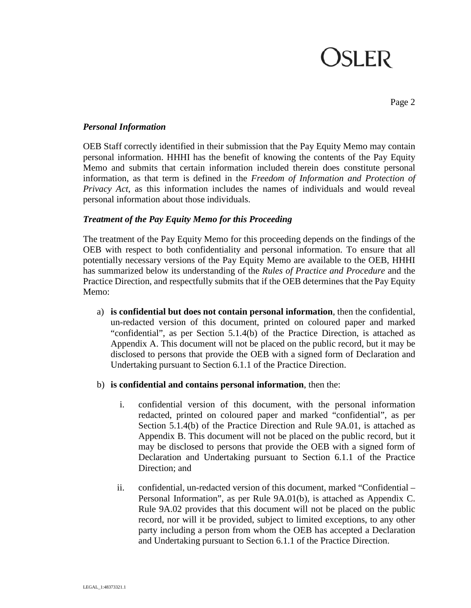# **OSLER**

Page 2

#### *Personal Information*

OEB Staff correctly identified in their submission that the Pay Equity Memo may contain personal information. HHHI has the benefit of knowing the contents of the Pay Equity Memo and submits that certain information included therein does constitute personal information, as that term is defined in the *Freedom of Information and Protection of Privacy Act*, as this information includes the names of individuals and would reveal personal information about those individuals.

#### *Treatment of the Pay Equity Memo for this Proceeding*

The treatment of the Pay Equity Memo for this proceeding depends on the findings of the OEB with respect to both confidentiality and personal information. To ensure that all potentially necessary versions of the Pay Equity Memo are available to the OEB, HHHI has summarized below its understanding of the *Rules of Practice and Procedure* and the Practice Direction, and respectfully submits that if the OEB determines that the Pay Equity Memo:

- a) **is confidential but does not contain personal information**, then the confidential, un-redacted version of this document, printed on coloured paper and marked "confidential", as per Section 5.1.4(b) of the Practice Direction, is attached as Appendix A. This document will not be placed on the public record, but it may be disclosed to persons that provide the OEB with a signed form of Declaration and Undertaking pursuant to Section 6.1.1 of the Practice Direction.
- b) **is confidential and contains personal information**, then the:
	- i. confidential version of this document, with the personal information redacted, printed on coloured paper and marked "confidential", as per Section 5.1.4(b) of the Practice Direction and Rule 9A.01, is attached as Appendix B. This document will not be placed on the public record, but it may be disclosed to persons that provide the OEB with a signed form of Declaration and Undertaking pursuant to Section 6.1.1 of the Practice Direction; and
	- ii. confidential, un-redacted version of this document, marked "Confidential Personal Information", as per Rule 9A.01(b), is attached as Appendix C. Rule 9A.02 provides that this document will not be placed on the public record, nor will it be provided, subject to limited exceptions, to any other party including a person from whom the OEB has accepted a Declaration and Undertaking pursuant to Section 6.1.1 of the Practice Direction.